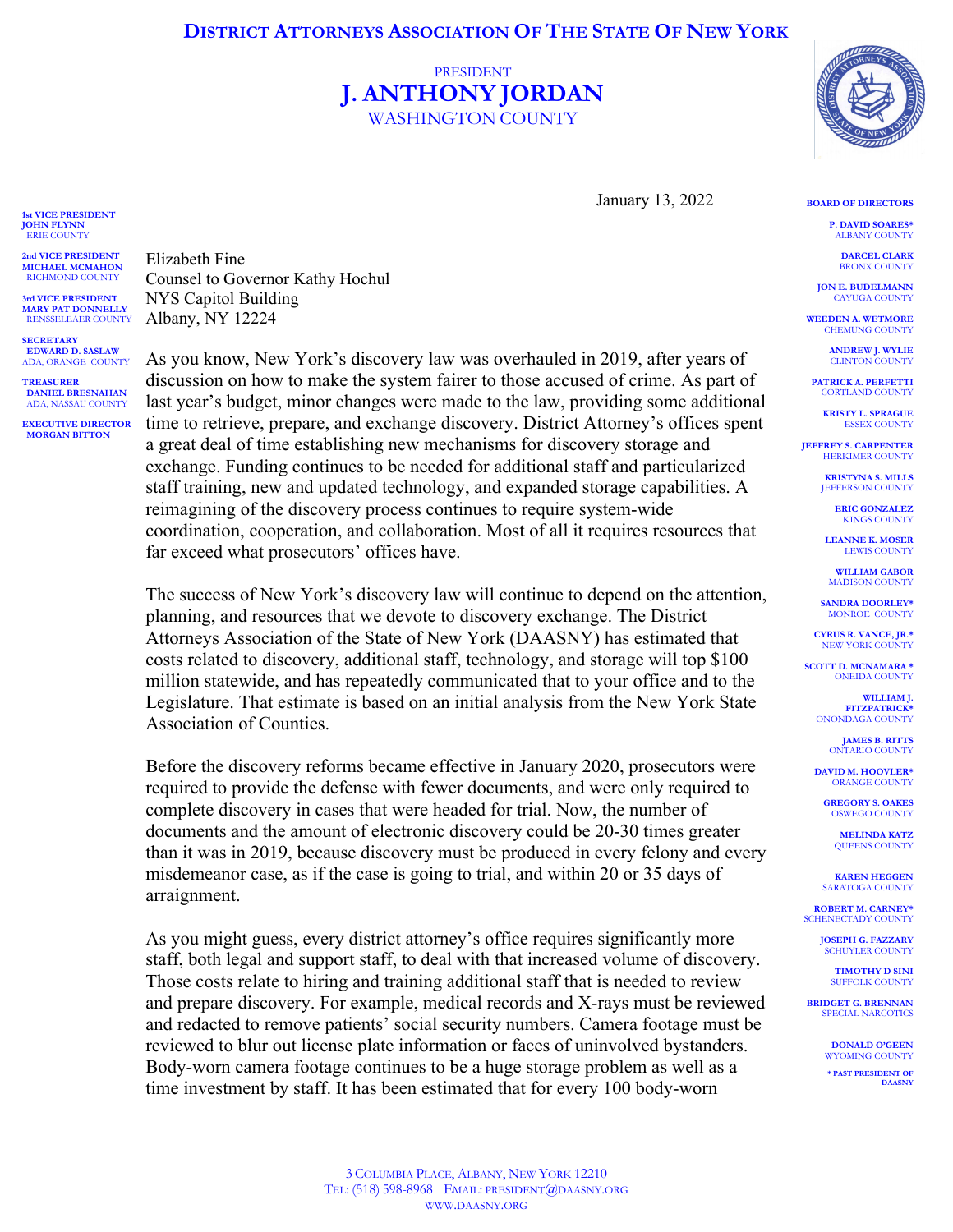## **DISTRICT ATTORNEYS ASSOCIATION OF THE STATE OF NEW YORK**

## PRESIDENT **J. ANTHONY JORDAN** WASHINGTON COUNTY



January 13, 2022

**P. DAVID SOARES\*** ALBANY COUNTY

**BOARD OF DIRECTORS**

**DARCEL CLARK** BRONX COUNTY

**JON E. BUDELMANN** CAYUGA COUNTY

**WEEDEN A. WETMORE** CHEMUNG COUNTY

> **ANDREW J. WYLIE CLINTON COUNT**

**PATRICK A. PERFETTI** CORTLAND COUNTY

**KRISTY L. SPRAGUE** ESSEX COUNTY

**JEFFREY S. CARPENTER HERKIMER COUNTY** 

> **KRISTYNA S. MILLS IEFFERSON COUNTY**

> > **ERIC GONZALEZ** KINGS COUNTY

**LEANNE K. MOSER** LEWIS COUNTY

**WILLIAM GABOR** MADISON COUNTY

**SANDRA DOORLEY\*** MONROE COUNTY

**CYRUS R. VANCE, JR.\*** NEW YORK COUNTY

**SCOTT D. MCNAMARA \*** ONEIDA COUNTY

> **WILLIAM J. FITZPATRICK\*** ONONDAGA COUNTY

> > **JAMES B. RITTS** ONTARIO COUNTY

**DAVID M. HOOVLER\*** ORANGE COUNTY

**GREGORY S. OAKES** OSWEGO COUNTY

**MELINDA KATZ** QUEENS COUNTY

**KAREN HEGGEN SARATOGA COUNTY** 

**ROBERT M. CARNEY\*** SCHENECTADY COUNTY

> **JOSEPH G. FAZZARY** SCHUYLER COUNTY

**TIMOTHY D SINI** SUFFOLK COUNT

**BRIDGET G. BRENNAN** SPECIAL NARCOTICS

> **DONALD O'GEEN** WYOMING COUNTY

**\* PAST PRESIDENT OF DAASNY**

Elizabeth Fine Counsel to Governor Kathy Hochul NYS Capitol Building Albany, NY 12224

**SECRETARY EDWARD D. SASLAW** ADA, ORANGE COUNTY

**1st VICE PRESIDENT JOHN FLYNN** ERIE COUNTY **2nd VICE PRESIDENT MICHAEL MCMAHON** RICHMOND COUNTY **3rd VICE PRESIDENT MARY PAT DONNELLY** RENSSELEAER COUNTY

**TREASURER DANIEL BRESNAHAN** ADA, NASSAU COUNTY

**EXECUTIVE DIRECTOR MORGAN BITTON**

As you know, New York's discovery law was overhauled in 2019, after years of discussion on how to make the system fairer to those accused of crime. As part of last year's budget, minor changes were made to the law, providing some additional time to retrieve, prepare, and exchange discovery. District Attorney's offices spent a great deal of time establishing new mechanisms for discovery storage and exchange. Funding continues to be needed for additional staff and particularized staff training, new and updated technology, and expanded storage capabilities. A reimagining of the discovery process continues to require system-wide coordination, cooperation, and collaboration. Most of all it requires resources that far exceed what prosecutors' offices have.

The success of New York's discovery law will continue to depend on the attention, planning, and resources that we devote to discovery exchange. The District Attorneys Association of the State of New York (DAASNY) has estimated that costs related to discovery, additional staff, technology, and storage will top \$100 million statewide, and has repeatedly communicated that to your office and to the Legislature. That estimate is based on an initial analysis from the New York State Association of Counties.

Before the discovery reforms became effective in January 2020, prosecutors were required to provide the defense with fewer documents, and were only required to complete discovery in cases that were headed for trial. Now, the number of documents and the amount of electronic discovery could be 20-30 times greater than it was in 2019, because discovery must be produced in every felony and every misdemeanor case, as if the case is going to trial, and within 20 or 35 days of arraignment.

As you might guess, every district attorney's office requires significantly more staff, both legal and support staff, to deal with that increased volume of discovery. Those costs relate to hiring and training additional staff that is needed to review and prepare discovery. For example, medical records and X-rays must be reviewed and redacted to remove patients' social security numbers. Camera footage must be reviewed to blur out license plate information or faces of uninvolved bystanders. Body-worn camera footage continues to be a huge storage problem as well as a time investment by staff. It has been estimated that for every 100 body-worn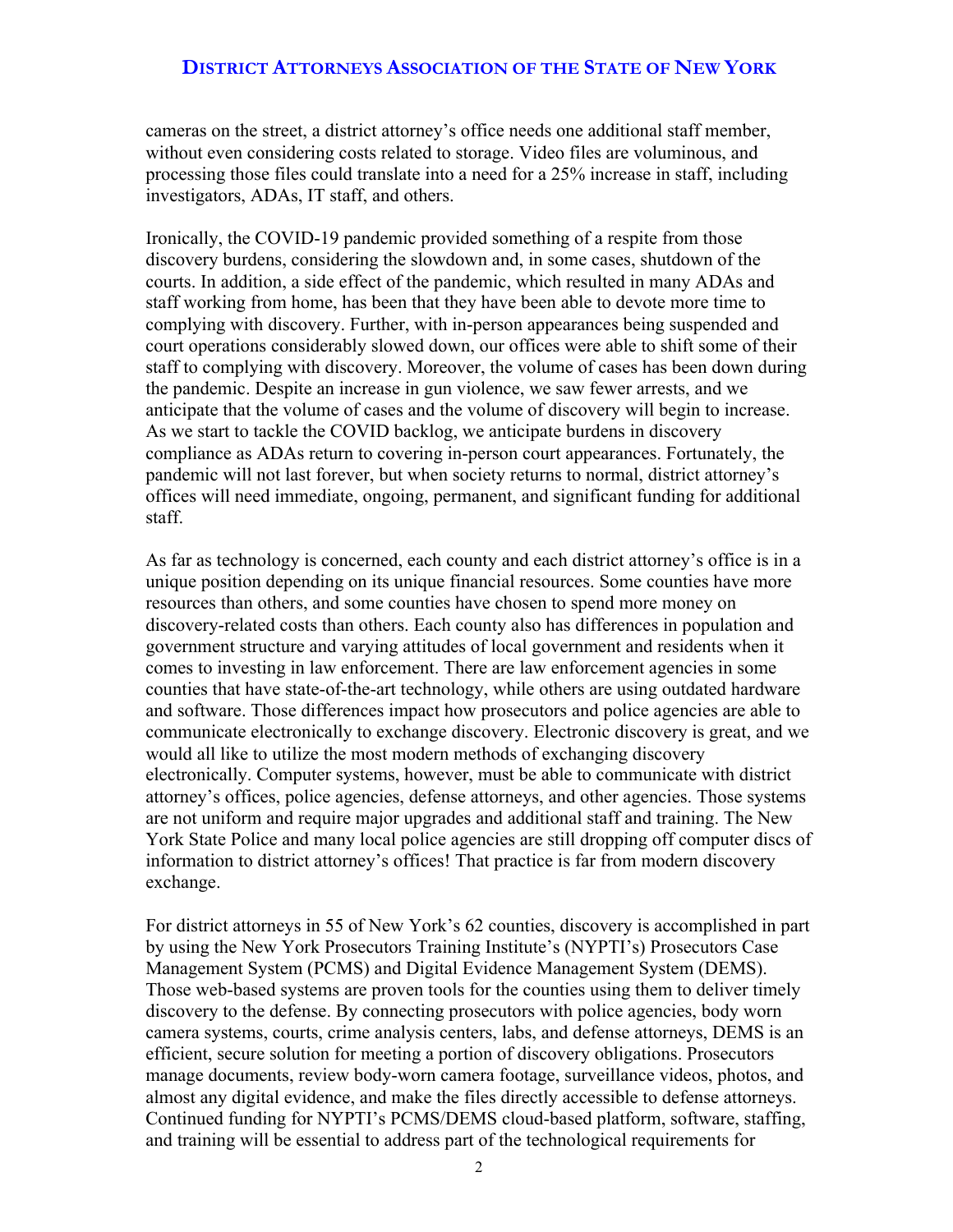cameras on the street, a district attorney's office needs one additional staff member, without even considering costs related to storage. Video files are voluminous, and processing those files could translate into a need for a 25% increase in staff, including investigators, ADAs, IT staff, and others.

Ironically, the COVID-19 pandemic provided something of a respite from those discovery burdens, considering the slowdown and, in some cases, shutdown of the courts. In addition, a side effect of the pandemic, which resulted in many ADAs and staff working from home, has been that they have been able to devote more time to complying with discovery. Further, with in-person appearances being suspended and court operations considerably slowed down, our offices were able to shift some of their staff to complying with discovery. Moreover, the volume of cases has been down during the pandemic. Despite an increase in gun violence, we saw fewer arrests, and we anticipate that the volume of cases and the volume of discovery will begin to increase. As we start to tackle the COVID backlog, we anticipate burdens in discovery compliance as ADAs return to covering in-person court appearances. Fortunately, the pandemic will not last forever, but when society returns to normal, district attorney's offices will need immediate, ongoing, permanent, and significant funding for additional staff.

As far as technology is concerned, each county and each district attorney's office is in a unique position depending on its unique financial resources. Some counties have more resources than others, and some counties have chosen to spend more money on discovery-related costs than others. Each county also has differences in population and government structure and varying attitudes of local government and residents when it comes to investing in law enforcement. There are law enforcement agencies in some counties that have state-of-the-art technology, while others are using outdated hardware and software. Those differences impact how prosecutors and police agencies are able to communicate electronically to exchange discovery. Electronic discovery is great, and we would all like to utilize the most modern methods of exchanging discovery electronically. Computer systems, however, must be able to communicate with district attorney's offices, police agencies, defense attorneys, and other agencies. Those systems are not uniform and require major upgrades and additional staff and training. The New York State Police and many local police agencies are still dropping off computer discs of information to district attorney's offices! That practice is far from modern discovery exchange.

For district attorneys in 55 of New York's 62 counties, discovery is accomplished in part by using the New York Prosecutors Training Institute's (NYPTI's) Prosecutors Case Management System (PCMS) and Digital Evidence Management System (DEMS). Those web-based systems are proven tools for the counties using them to deliver timely discovery to the defense. By connecting prosecutors with police agencies, body worn camera systems, courts, crime analysis centers, labs, and defense attorneys, DEMS is an efficient, secure solution for meeting a portion of discovery obligations. Prosecutors manage documents, review body-worn camera footage, surveillance videos, photos, and almost any digital evidence, and make the files directly accessible to defense attorneys. Continued funding for NYPTI's PCMS/DEMS cloud-based platform, software, staffing, and training will be essential to address part of the technological requirements for